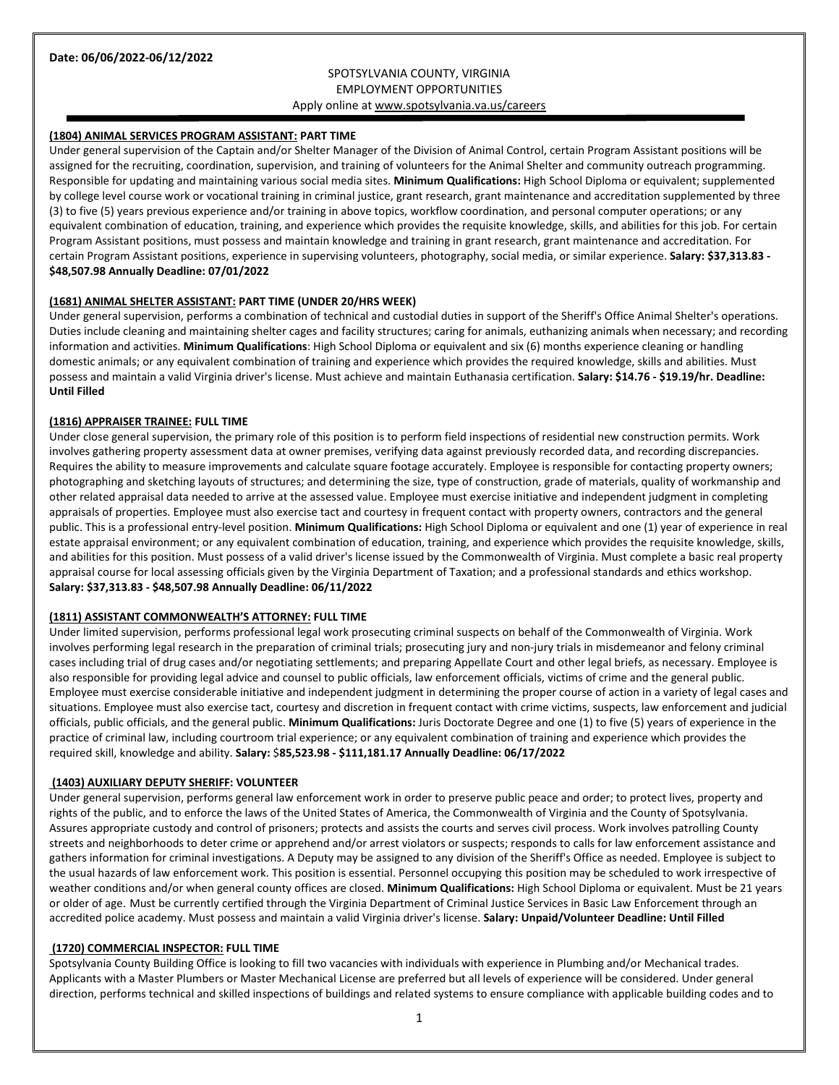# SPOTSYLVANIA COUNTY, VIRGINIA EMPLOYMENT OPPORTUNITIES Apply online a[t www.spotsylvania.va.us/careers](http://www.spotsylvania.va.us/careers)

### **(1804) ANIMAL SERVICES PROGRAM ASSISTANT: PART TIME**

Under general supervision of the Captain and/or Shelter Manager of the Division of Animal Control, certain Program Assistant positions will be assigned for the recruiting, coordination, supervision, and training of volunteers for the Animal Shelter and community outreach programming. Responsible for updating and maintaining various social media sites. **Minimum Qualifications:** High School Diploma or equivalent; supplemented by college level course work or vocational training in criminal justice, grant research, grant maintenance and accreditation supplemented by three (3) to five (5) years previous experience and/or training in above topics, workflow coordination, and personal computer operations; or any equivalent combination of education, training, and experience which provides the requisite knowledge, skills, and abilities for this job. For certain Program Assistant positions, must possess and maintain knowledge and training in grant research, grant maintenance and accreditation. For certain Program Assistant positions, experience in supervising volunteers, photography, social media, or similar experience. **Salary: \$37,313.83 - \$48,507.98 Annually Deadline: 07/01/2022**

#### **(1681) ANIMAL SHELTER ASSISTANT: PART TIME (UNDER 20/HRS WEEK)**

Under general supervision, performs a combination of technical and custodial duties in support of the Sheriff's Office Animal Shelter's operations. Duties include cleaning and maintaining shelter cages and facility structures; caring for animals, euthanizing animals when necessary; and recording information and activities. **Minimum Qualifications**: High School Diploma or equivalent and six (6) months experience cleaning or handling domestic animals; or any equivalent combination of training and experience which provides the required knowledge, skills and abilities. Must possess and maintain a valid Virginia driver's license. Must achieve and maintain Euthanasia certification. **Salary: \$14.76 - \$19.19/hr. Deadline: Until Filled**

#### **(1816) APPRAISER TRAINEE: FULL TIME**

Under close general supervision, the primary role of this position is to perform field inspections of residential new construction permits. Work involves gathering property assessment data at owner premises, verifying data against previously recorded data, and recording discrepancies. Requires the ability to measure improvements and calculate square footage accurately. Employee is responsible for contacting property owners; photographing and sketching layouts of structures; and determining the size, type of construction, grade of materials, quality of workmanship and other related appraisal data needed to arrive at the assessed value. Employee must exercise initiative and independent judgment in completing appraisals of properties. Employee must also exercise tact and courtesy in frequent contact with property owners, contractors and the general public. This is a professional entry-level position. **Minimum Qualifications:** High School Diploma or equivalent and one (1) year of experience in real estate appraisal environment; or any equivalent combination of education, training, and experience which provides the requisite knowledge, skills, and abilities for this position. Must possess of a valid driver's license issued by the Commonwealth of Virginia. Must complete a basic real property appraisal course for local assessing officials given by the Virginia Department of Taxation; and a professional standards and ethics workshop. **Salary: \$37,313.83 - \$48,507.98 Annually Deadline: 06/11/2022**

#### **(1811) ASSISTANT COMMONWEALTH'S ATTORNEY: FULL TIME**

Under limited supervision, performs professional legal work prosecuting criminal suspects on behalf of the Commonwealth of Virginia. Work involves performing legal research in the preparation of criminal trials; prosecuting jury and non-jury trials in misdemeanor and felony criminal cases including trial of drug cases and/or negotiating settlements; and preparing Appellate Court and other legal briefs, as necessary. Employee is also responsible for providing legal advice and counsel to public officials, law enforcement officials, victims of crime and the general public. Employee must exercise considerable initiative and independent judgment in determining the proper course of action in a variety of legal cases and situations. Employee must also exercise tact, courtesy and discretion in frequent contact with crime victims, suspects, law enforcement and judicial officials, public officials, and the general public. **Minimum Qualifications:** Juris Doctorate Degree and one (1) to five (5) years of experience in the practice of criminal law, including courtroom trial experience; or any equivalent combination of training and experience which provides the required skill, knowledge and ability. **Salary:** \$**85,523.98 - \$111,181.17 Annually Deadline: 06/17/2022**

#### **(1403) AUXILIARY DEPUTY SHERIFF: VOLUNTEER**

Under general supervision, performs general law enforcement work in order to preserve public peace and order; to protect lives, property and rights of the public, and to enforce the laws of the United States of America, the Commonwealth of Virginia and the County of Spotsylvania. Assures appropriate custody and control of prisoners; protects and assists the courts and serves civil process. Work involves patrolling County streets and neighborhoods to deter crime or apprehend and/or arrest violators or suspects; responds to calls for law enforcement assistance and gathers information for criminal investigations. A Deputy may be assigned to any division of the Sheriff's Office as needed. Employee is subject to the usual hazards of law enforcement work. This position is essential. Personnel occupying this position may be scheduled to work irrespective of weather conditions and/or when general county offices are closed. **Minimum Qualifications:** High School Diploma or equivalent. Must be 21 years or older of age. Must be currently certified through the Virginia Department of Criminal Justice Services in Basic Law Enforcement through an accredited police academy. Must possess and maintain a valid Virginia driver's license. **Salary: Unpaid/Volunteer Deadline: Until Filled**

#### **(1720) COMMERCIAL INSPECTOR: FULL TIME**

Spotsylvania County Building Office is looking to fill two vacancies with individuals with experience in Plumbing and/or Mechanical trades. Applicants with a Master Plumbers or Master Mechanical License are preferred but all levels of experience will be considered. Under general direction, performs technical and skilled inspections of buildings and related systems to ensure compliance with applicable building codes and to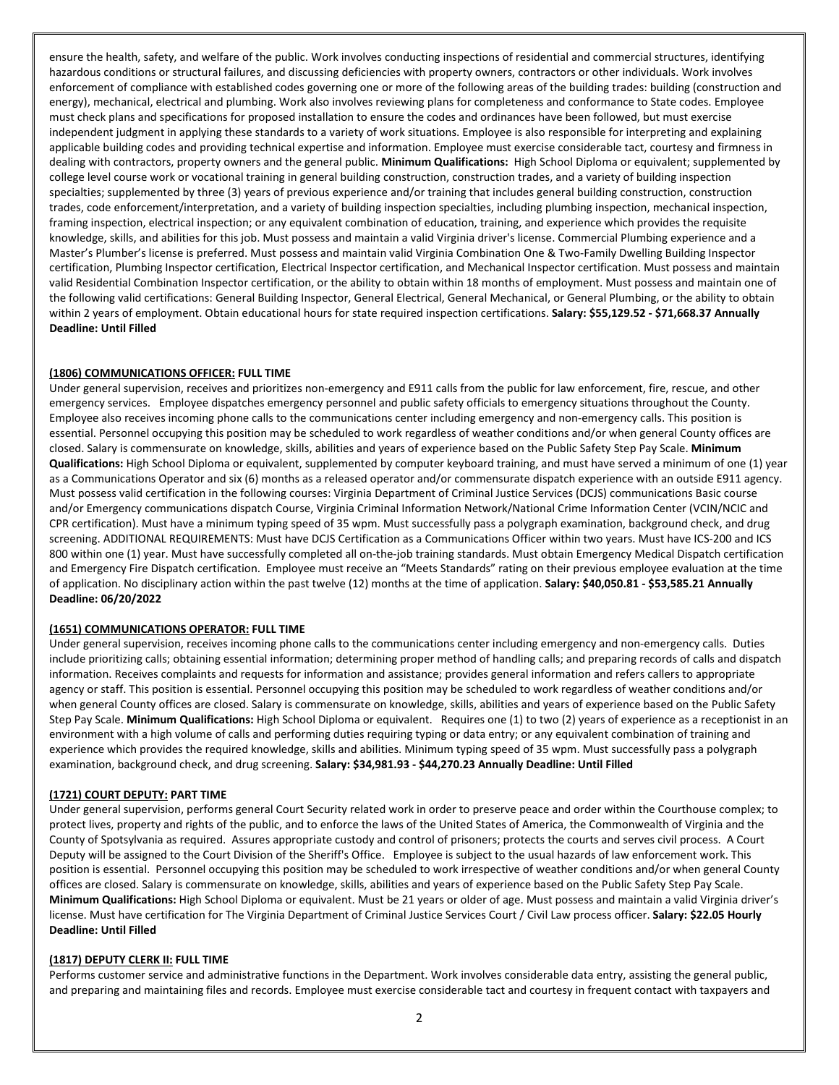ensure the health, safety, and welfare of the public. Work involves conducting inspections of residential and commercial structures, identifying hazardous conditions or structural failures, and discussing deficiencies with property owners, contractors or other individuals. Work involves enforcement of compliance with established codes governing one or more of the following areas of the building trades: building (construction and energy), mechanical, electrical and plumbing. Work also involves reviewing plans for completeness and conformance to State codes. Employee must check plans and specifications for proposed installation to ensure the codes and ordinances have been followed, but must exercise independent judgment in applying these standards to a variety of work situations. Employee is also responsible for interpreting and explaining applicable building codes and providing technical expertise and information. Employee must exercise considerable tact, courtesy and firmness in dealing with contractors, property owners and the general public. **Minimum Qualifications:** High School Diploma or equivalent; supplemented by college level course work or vocational training in general building construction, construction trades, and a variety of building inspection specialties; supplemented by three (3) years of previous experience and/or training that includes general building construction, construction trades, code enforcement/interpretation, and a variety of building inspection specialties, including plumbing inspection, mechanical inspection, framing inspection, electrical inspection; or any equivalent combination of education, training, and experience which provides the requisite knowledge, skills, and abilities for this job. Must possess and maintain a valid Virginia driver's license. Commercial Plumbing experience and a Master's Plumber's license is preferred. Must possess and maintain valid Virginia Combination One & Two-Family Dwelling Building Inspector certification, Plumbing Inspector certification, Electrical Inspector certification, and Mechanical Inspector certification. Must possess and maintain valid Residential Combination Inspector certification, or the ability to obtain within 18 months of employment. Must possess and maintain one of the following valid certifications: General Building Inspector, General Electrical, General Mechanical, or General Plumbing, or the ability to obtain within 2 years of employment. Obtain educational hours for state required inspection certifications. **Salary: \$55,129.52 - \$71,668.37 Annually Deadline: Until Filled**

#### **(1806) COMMUNICATIONS OFFICER: FULL TIME**

Under general supervision, receives and prioritizes non-emergency and E911 calls from the public for law enforcement, fire, rescue, and other emergency services. Employee dispatches emergency personnel and public safety officials to emergency situations throughout the County. Employee also receives incoming phone calls to the communications center including emergency and non-emergency calls. This position is essential. Personnel occupying this position may be scheduled to work regardless of weather conditions and/or when general County offices are closed. Salary is commensurate on knowledge, skills, abilities and years of experience based on the Public Safety Step Pay Scale. **Minimum Qualifications:** High School Diploma or equivalent, supplemented by computer keyboard training, and must have served a minimum of one (1) year as a Communications Operator and six (6) months as a released operator and/or commensurate dispatch experience with an outside E911 agency. Must possess valid certification in the following courses: Virginia Department of Criminal Justice Services (DCJS) communications Basic course and/or Emergency communications dispatch Course, Virginia Criminal Information Network/National Crime Information Center (VCIN/NCIC and CPR certification). Must have a minimum typing speed of 35 wpm. Must successfully pass a polygraph examination, background check, and drug screening. ADDITIONAL REQUIREMENTS: Must have DCJS Certification as a Communications Officer within two years. Must have ICS-200 and ICS 800 within one (1) year. Must have successfully completed all on-the-job training standards. Must obtain Emergency Medical Dispatch certification and Emergency Fire Dispatch certification. Employee must receive an "Meets Standards" rating on their previous employee evaluation at the time of application. No disciplinary action within the past twelve (12) months at the time of application. **Salary: \$40,050.81 - \$53,585.21 Annually Deadline: 06/20/2022**

#### **(1651) COMMUNICATIONS OPERATOR: FULL TIME**

Under general supervision, receives incoming phone calls to the communications center including emergency and non-emergency calls. Duties include prioritizing calls; obtaining essential information; determining proper method of handling calls; and preparing records of calls and dispatch information. Receives complaints and requests for information and assistance; provides general information and refers callers to appropriate agency or staff. This position is essential. Personnel occupying this position may be scheduled to work regardless of weather conditions and/or when general County offices are closed. Salary is commensurate on knowledge, skills, abilities and years of experience based on the Public Safety Step Pay Scale. **Minimum Qualifications:** High School Diploma or equivalent. Requires one (1) to two (2) years of experience as a receptionist in an environment with a high volume of calls and performing duties requiring typing or data entry; or any equivalent combination of training and experience which provides the required knowledge, skills and abilities. Minimum typing speed of 35 wpm. Must successfully pass a polygraph examination, background check, and drug screening. **Salary: \$34,981.93 - \$44,270.23 Annually Deadline: Until Filled**

#### **(1721) COURT DEPUTY: PART TIME**

Under general supervision, performs general Court Security related work in order to preserve peace and order within the Courthouse complex; to protect lives, property and rights of the public, and to enforce the laws of the United States of America, the Commonwealth of Virginia and the County of Spotsylvania as required. Assures appropriate custody and control of prisoners; protects the courts and serves civil process. A Court Deputy will be assigned to the Court Division of the Sheriff's Office. Employee is subject to the usual hazards of law enforcement work. This position is essential. Personnel occupying this position may be scheduled to work irrespective of weather conditions and/or when general County offices are closed. Salary is commensurate on knowledge, skills, abilities and years of experience based on the Public Safety Step Pay Scale. **Minimum Qualifications:** High School Diploma or equivalent. Must be 21 years or older of age. Must possess and maintain a valid Virginia driver's license. Must have certification for The Virginia Department of Criminal Justice Services Court / Civil Law process officer. **Salary: \$22.05 Hourly Deadline: Until Filled**

#### **(1817) DEPUTY CLERK II: FULL TIME**

Performs customer service and administrative functions in the Department. Work involves considerable data entry, assisting the general public, and preparing and maintaining files and records. Employee must exercise considerable tact and courtesy in frequent contact with taxpayers and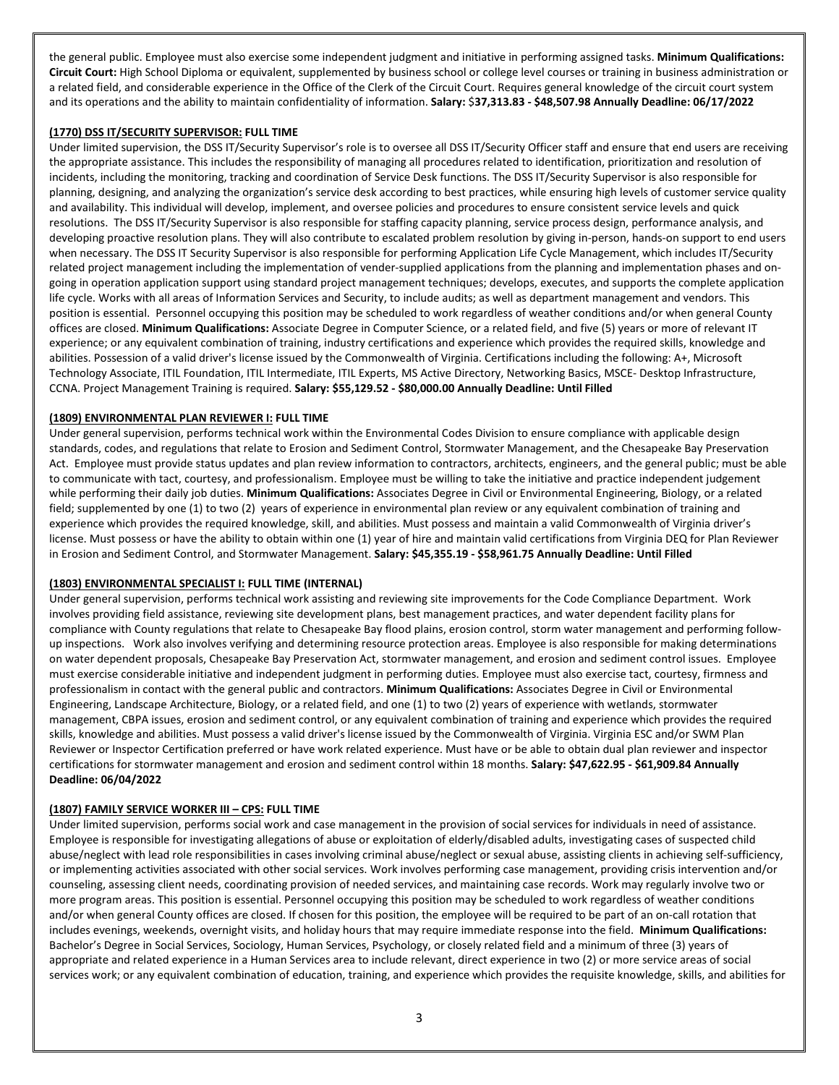the general public. Employee must also exercise some independent judgment and initiative in performing assigned tasks. **Minimum Qualifications: Circuit Court:** High School Diploma or equivalent, supplemented by business school or college level courses or training in business administration or a related field, and considerable experience in the Office of the Clerk of the Circuit Court. Requires general knowledge of the circuit court system and its operations and the ability to maintain confidentiality of information. **Salary:** \$**37,313.83 - \$48,507.98 Annually Deadline: 06/17/2022**

### **(1770) DSS IT/SECURITY SUPERVISOR: FULL TIME**

Under limited supervision, the DSS IT/Security Supervisor's role is to oversee all DSS IT/Security Officer staff and ensure that end users are receiving the appropriate assistance. This includes the responsibility of managing all procedures related to identification, prioritization and resolution of incidents, including the monitoring, tracking and coordination of Service Desk functions. The DSS IT/Security Supervisor is also responsible for planning, designing, and analyzing the organization's service desk according to best practices, while ensuring high levels of customer service quality and availability. This individual will develop, implement, and oversee policies and procedures to ensure consistent service levels and quick resolutions. The DSS IT/Security Supervisor is also responsible for staffing capacity planning, service process design, performance analysis, and developing proactive resolution plans. They will also contribute to escalated problem resolution by giving in-person, hands-on support to end users when necessary. The DSS IT Security Supervisor is also responsible for performing Application Life Cycle Management, which includes IT/Security related project management including the implementation of vender-supplied applications from the planning and implementation phases and ongoing in operation application support using standard project management techniques; develops, executes, and supports the complete application life cycle. Works with all areas of Information Services and Security, to include audits; as well as department management and vendors. This position is essential. Personnel occupying this position may be scheduled to work regardless of weather conditions and/or when general County offices are closed. **Minimum Qualifications:** Associate Degree in Computer Science, or a related field, and five (5) years or more of relevant IT experience; or any equivalent combination of training, industry certifications and experience which provides the required skills, knowledge and abilities. Possession of a valid driver's license issued by the Commonwealth of Virginia. Certifications including the following: A+, Microsoft Technology Associate, ITIL Foundation, ITIL Intermediate, ITIL Experts, MS Active Directory, Networking Basics, MSCE- Desktop Infrastructure, CCNA. Project Management Training is required. **Salary: \$55,129.52 - \$80,000.00 Annually Deadline: Until Filled**

### **(1809) ENVIRONMENTAL PLAN REVIEWER I: FULL TIME**

Under general supervision, performs technical work within the Environmental Codes Division to ensure compliance with applicable design standards, codes, and regulations that relate to Erosion and Sediment Control, Stormwater Management, and the Chesapeake Bay Preservation Act. Employee must provide status updates and plan review information to contractors, architects, engineers, and the general public; must be able to communicate with tact, courtesy, and professionalism. Employee must be willing to take the initiative and practice independent judgement while performing their daily job duties. **Minimum Qualifications:** Associates Degree in Civil or Environmental Engineering, Biology, or a related field; supplemented by one (1) to two (2) years of experience in environmental plan review or any equivalent combination of training and experience which provides the required knowledge, skill, and abilities. Must possess and maintain a valid Commonwealth of Virginia driver's license. Must possess or have the ability to obtain within one (1) year of hire and maintain valid certifications from Virginia DEQ for Plan Reviewer in Erosion and Sediment Control, and Stormwater Management. **Salary: \$45,355.19 - \$58,961.75 Annually Deadline: Until Filled**

## **(1803) ENVIRONMENTAL SPECIALIST I: FULL TIME (INTERNAL)**

Under general supervision, performs technical work assisting and reviewing site improvements for the Code Compliance Department. Work involves providing field assistance, reviewing site development plans, best management practices, and water dependent facility plans for compliance with County regulations that relate to Chesapeake Bay flood plains, erosion control, storm water management and performing followup inspections. Work also involves verifying and determining resource protection areas. Employee is also responsible for making determinations on water dependent proposals, Chesapeake Bay Preservation Act, stormwater management, and erosion and sediment control issues. Employee must exercise considerable initiative and independent judgment in performing duties. Employee must also exercise tact, courtesy, firmness and professionalism in contact with the general public and contractors. **Minimum Qualifications:** Associates Degree in Civil or Environmental Engineering, Landscape Architecture, Biology, or a related field, and one (1) to two (2) years of experience with wetlands, stormwater management, CBPA issues, erosion and sediment control, or any equivalent combination of training and experience which provides the required skills, knowledge and abilities. Must possess a valid driver's license issued by the Commonwealth of Virginia. Virginia ESC and/or SWM Plan Reviewer or Inspector Certification preferred or have work related experience. Must have or be able to obtain dual plan reviewer and inspector certifications for stormwater management and erosion and sediment control within 18 months. **Salary: \$47,622.95 - \$61,909.84 Annually Deadline: 06/04/2022**

# **(1807) FAMILY SERVICE WORKER III – CPS: FULL TIME**

Under limited supervision, performs social work and case management in the provision of social services for individuals in need of assistance. Employee is responsible for investigating allegations of abuse or exploitation of elderly/disabled adults, investigating cases of suspected child abuse/neglect with lead role responsibilities in cases involving criminal abuse/neglect or sexual abuse, assisting clients in achieving self-sufficiency, or implementing activities associated with other social services. Work involves performing case management, providing crisis intervention and/or counseling, assessing client needs, coordinating provision of needed services, and maintaining case records. Work may regularly involve two or more program areas. This position is essential. Personnel occupying this position may be scheduled to work regardless of weather conditions and/or when general County offices are closed. If chosen for this position, the employee will be required to be part of an on-call rotation that includes evenings, weekends, overnight visits, and holiday hours that may require immediate response into the field. **Minimum Qualifications:** Bachelor's Degree in Social Services, Sociology, Human Services, Psychology, or closely related field and a minimum of three (3) years of appropriate and related experience in a Human Services area to include relevant, direct experience in two (2) or more service areas of social services work; or any equivalent combination of education, training, and experience which provides the requisite knowledge, skills, and abilities for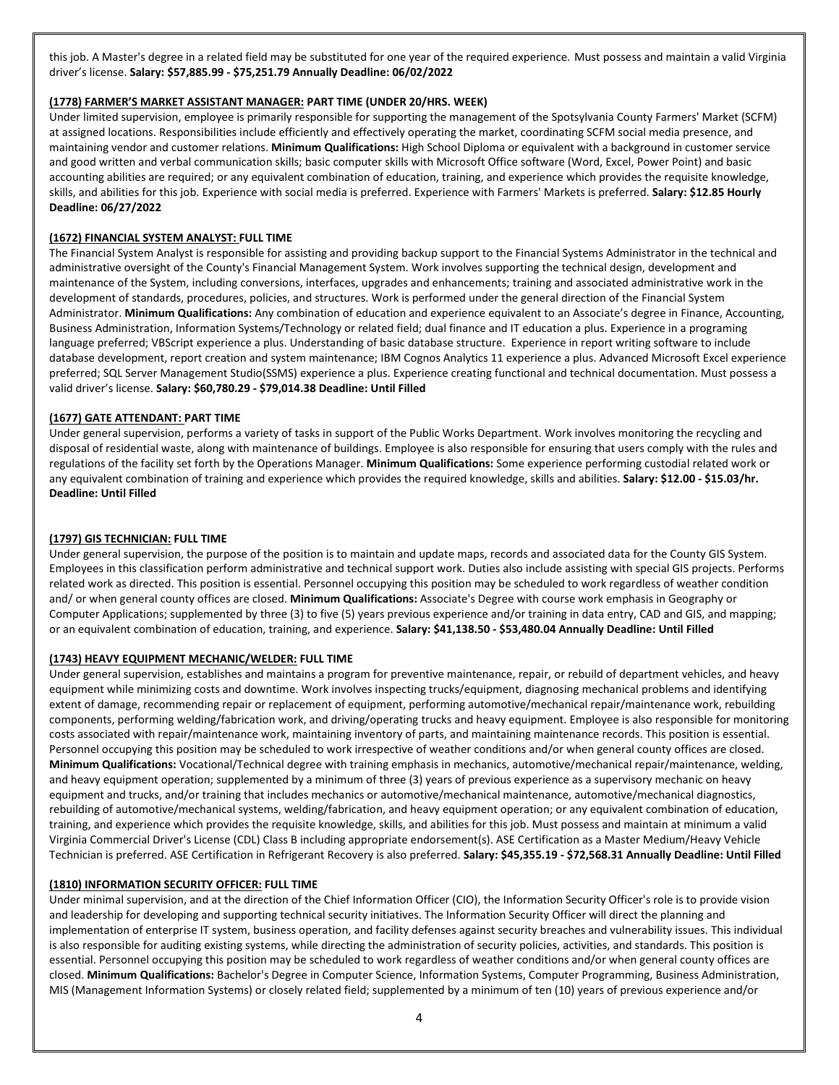this job. A Master's degree in a related field may be substituted for one year of the required experience. Must possess and maintain a valid Virginia driver's license. **Salary: \$57,885.99 - \$75,251.79 Annually Deadline: 06/02/2022**

## **(1778) FARMER'S MARKET ASSISTANT MANAGER: PART TIME (UNDER 20/HRS. WEEK)**

Under limited supervision, employee is primarily responsible for supporting the management of the Spotsylvania County Farmers' Market (SCFM) at assigned locations. Responsibilities include efficiently and effectively operating the market, coordinating SCFM social media presence, and maintaining vendor and customer relations. **Minimum Qualifications:** High School Diploma or equivalent with a background in customer service and good written and verbal communication skills; basic computer skills with Microsoft Office software (Word, Excel, Power Point) and basic accounting abilities are required; or any equivalent combination of education, training, and experience which provides the requisite knowledge, skills, and abilities for this job. Experience with social media is preferred. Experience with Farmers' Markets is preferred. **Salary: \$12.85 Hourly Deadline: 06/27/2022**

## **(1672) FINANCIAL SYSTEM ANALYST: FULL TIME**

The Financial System Analyst is responsible for assisting and providing backup support to the Financial Systems Administrator in the technical and administrative oversight of the County's Financial Management System. Work involves supporting the technical design, development and maintenance of the System, including conversions, interfaces, upgrades and enhancements; training and associated administrative work in the development of standards, procedures, policies, and structures. Work is performed under the general direction of the Financial System Administrator. **Minimum Qualifications:** Any combination of education and experience equivalent to an Associate's degree in Finance, Accounting, Business Administration, Information Systems/Technology or related field; dual finance and IT education a plus. Experience in a programing language preferred; VBScript experience a plus. Understanding of basic database structure. Experience in report writing software to include database development, report creation and system maintenance; IBM Cognos Analytics 11 experience a plus. Advanced Microsoft Excel experience preferred; SQL Server Management Studio(SSMS) experience a plus. Experience creating functional and technical documentation. Must possess a valid driver's license. **Salary: \$60,780.29 - \$79,014.38 Deadline: Until Filled**

### **(1677) GATE ATTENDANT: PART TIME**

Under general supervision, performs a variety of tasks in support of the Public Works Department. Work involves monitoring the recycling and disposal of residential waste, along with maintenance of buildings. Employee is also responsible for ensuring that users comply with the rules and regulations of the facility set forth by the Operations Manager. **Minimum Qualifications:** Some experience performing custodial related work or any equivalent combination of training and experience which provides the required knowledge, skills and abilities. **Salary: \$12.00 - \$15.03/hr. Deadline: Until Filled**

### **(1797) GIS TECHNICIAN: FULL TIME**

Under general supervision, the purpose of the position is to maintain and update maps, records and associated data for the County GIS System. Employees in this classification perform administrative and technical support work. Duties also include assisting with special GIS projects. Performs related work as directed. This position is essential. Personnel occupying this position may be scheduled to work regardless of weather condition and/ or when general county offices are closed. **Minimum Qualifications:** Associate's Degree with course work emphasis in Geography or Computer Applications; supplemented by three (3) to five (5) years previous experience and/or training in data entry, CAD and GIS, and mapping; or an equivalent combination of education, training, and experience. **Salary: \$41,138.50 - \$53,480.04 Annually Deadline: Until Filled**

### **(1743) HEAVY EQUIPMENT MECHANIC/WELDER: FULL TIME**

Under general supervision, establishes and maintains a program for preventive maintenance, repair, or rebuild of department vehicles, and heavy equipment while minimizing costs and downtime. Work involves inspecting trucks/equipment, diagnosing mechanical problems and identifying extent of damage, recommending repair or replacement of equipment, performing automotive/mechanical repair/maintenance work, rebuilding components, performing welding/fabrication work, and driving/operating trucks and heavy equipment. Employee is also responsible for monitoring costs associated with repair/maintenance work, maintaining inventory of parts, and maintaining maintenance records. This position is essential. Personnel occupying this position may be scheduled to work irrespective of weather conditions and/or when general county offices are closed. **Minimum Qualifications:** Vocational/Technical degree with training emphasis in mechanics, automotive/mechanical repair/maintenance, welding, and heavy equipment operation; supplemented by a minimum of three (3) years of previous experience as a supervisory mechanic on heavy equipment and trucks, and/or training that includes mechanics or automotive/mechanical maintenance, automotive/mechanical diagnostics, rebuilding of automotive/mechanical systems, welding/fabrication, and heavy equipment operation; or any equivalent combination of education, training, and experience which provides the requisite knowledge, skills, and abilities for this job. Must possess and maintain at minimum a valid Virginia Commercial Driver's License (CDL) Class B including appropriate endorsement(s). ASE Certification as a Master Medium/Heavy Vehicle Technician is preferred. ASE Certification in Refrigerant Recovery is also preferred. **Salary: \$45,355.19 - \$72,568.31 Annually Deadline: Until Filled**

#### **(1810) INFORMATION SECURITY OFFICER: FULL TIME**

Under minimal supervision, and at the direction of the Chief Information Officer (CIO), the Information Security Officer's role is to provide vision and leadership for developing and supporting technical security initiatives. The Information Security Officer will direct the planning and implementation of enterprise IT system, business operation, and facility defenses against security breaches and vulnerability issues. This individual is also responsible for auditing existing systems, while directing the administration of security policies, activities, and standards. This position is essential. Personnel occupying this position may be scheduled to work regardless of weather conditions and/or when general county offices are closed. **Minimum Qualifications:** Bachelor's Degree in Computer Science, Information Systems, Computer Programming, Business Administration, MIS (Management Information Systems) or closely related field; supplemented by a minimum of ten (10) years of previous experience and/or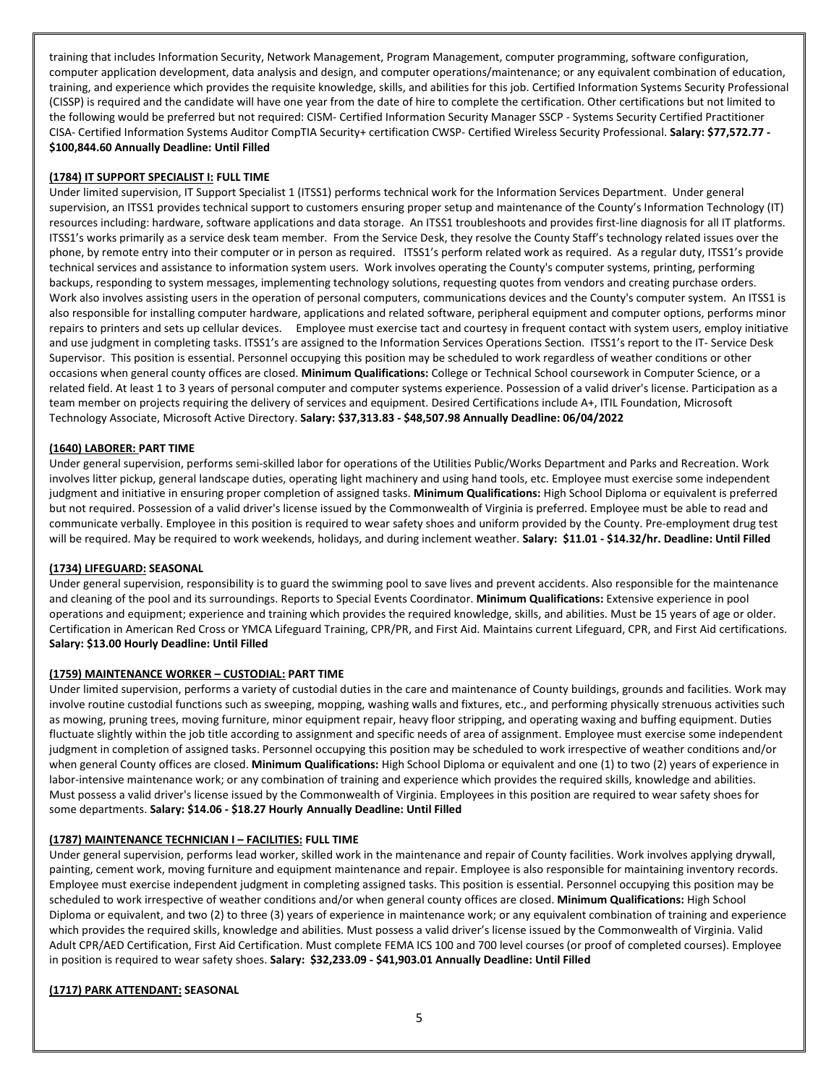training that includes Information Security, Network Management, Program Management, computer programming, software configuration, computer application development, data analysis and design, and computer operations/maintenance; or any equivalent combination of education, training, and experience which provides the requisite knowledge, skills, and abilities for this job. Certified Information Systems Security Professional (CISSP) is required and the candidate will have one year from the date of hire to complete the certification. Other certifications but not limited to the following would be preferred but not required: CISM- Certified Information Security Manager SSCP - Systems Security Certified Practitioner CISA- Certified Information Systems Auditor CompTIA Security+ certification CWSP- Certified Wireless Security Professional. **Salary: \$77,572.77 - \$100,844.60 Annually Deadline: Until Filled**

### **(1784) IT SUPPORT SPECIALIST I: FULL TIME**

Under limited supervision, IT Support Specialist 1 (ITSS1) performs technical work for the Information Services Department. Under general supervision, an ITSS1 provides technical support to customers ensuring proper setup and maintenance of the County's Information Technology (IT) resources including: hardware, software applications and data storage. An ITSS1 troubleshoots and provides first-line diagnosis for all IT platforms. ITSS1's works primarily as a service desk team member. From the Service Desk, they resolve the County Staff's technology related issues over the phone, by remote entry into their computer or in person as required. ITSS1's perform related work as required. As a regular duty, ITSS1's provide technical services and assistance to information system users. Work involves operating the County's computer systems, printing, performing backups, responding to system messages, implementing technology solutions, requesting quotes from vendors and creating purchase orders. Work also involves assisting users in the operation of personal computers, communications devices and the County's computer system. An ITSS1 is also responsible for installing computer hardware, applications and related software, peripheral equipment and computer options, performs minor repairs to printers and sets up cellular devices. Employee must exercise tact and courtesy in frequent contact with system users, employ initiative and use judgment in completing tasks. ITSS1's are assigned to the Information Services Operations Section. ITSS1's report to the IT- Service Desk Supervisor. This position is essential. Personnel occupying this position may be scheduled to work regardless of weather conditions or other occasions when general county offices are closed. **Minimum Qualifications:** College or Technical School coursework in Computer Science, or a related field. At least 1 to 3 years of personal computer and computer systems experience. Possession of a valid driver's license. Participation as a team member on projects requiring the delivery of services and equipment. Desired Certifications include A+, ITIL Foundation, Microsoft Technology Associate, Microsoft Active Directory. **Salary: \$37,313.83 - \$48,507.98 Annually Deadline: 06/04/2022**

#### **(1640) LABORER: PART TIME**

Under general supervision, performs semi-skilled labor for operations of the Utilities Public/Works Department and Parks and Recreation. Work involves litter pickup, general landscape duties, operating light machinery and using hand tools, etc. Employee must exercise some independent judgment and initiative in ensuring proper completion of assigned tasks. **Minimum Qualifications:** High School Diploma or equivalent is preferred but not required. Possession of a valid driver's license issued by the Commonwealth of Virginia is preferred. Employee must be able to read and communicate verbally. Employee in this position is required to wear safety shoes and uniform provided by the County. Pre-employment drug test will be required. May be required to work weekends, holidays, and during inclement weather. **Salary: \$11.01 - \$14.32/hr. Deadline: Until Filled**

#### **(1734) LIFEGUARD: SEASONAL**

Under general supervision, responsibility is to guard the swimming pool to save lives and prevent accidents. Also responsible for the maintenance and cleaning of the pool and its surroundings. Reports to Special Events Coordinator. **Minimum Qualifications:** Extensive experience in pool operations and equipment; experience and training which provides the required knowledge, skills, and abilities. Must be 15 years of age or older. Certification in American Red Cross or YMCA Lifeguard Training, CPR/PR, and First Aid. Maintains current Lifeguard, CPR, and First Aid certifications. **Salary: \$13.00 Hourly Deadline: Until Filled**

#### **(1759) MAINTENANCE WORKER – CUSTODIAL: PART TIME**

Under limited supervision, performs a variety of custodial duties in the care and maintenance of County buildings, grounds and facilities. Work may involve routine custodial functions such as sweeping, mopping, washing walls and fixtures, etc., and performing physically strenuous activities such as mowing, pruning trees, moving furniture, minor equipment repair, heavy floor stripping, and operating waxing and buffing equipment. Duties fluctuate slightly within the job title according to assignment and specific needs of area of assignment. Employee must exercise some independent judgment in completion of assigned tasks. Personnel occupying this position may be scheduled to work irrespective of weather conditions and/or when general County offices are closed. **Minimum Qualifications:** High School Diploma or equivalent and one (1) to two (2) years of experience in labor-intensive maintenance work; or any combination of training and experience which provides the required skills, knowledge and abilities. Must possess a valid driver's license issued by the Commonwealth of Virginia. Employees in this position are required to wear safety shoes for some departments. **Salary: \$14.06 - \$18.27 Hourly Annually Deadline: Until Filled**

#### **(1787) MAINTENANCE TECHNICIAN I – FACILITIES: FULL TIME**

Under general supervision, performs lead worker, skilled work in the maintenance and repair of County facilities. Work involves applying drywall, painting, cement work, moving furniture and equipment maintenance and repair. Employee is also responsible for maintaining inventory records. Employee must exercise independent judgment in completing assigned tasks. This position is essential. Personnel occupying this position may be scheduled to work irrespective of weather conditions and/or when general county offices are closed. **Minimum Qualifications:** High School Diploma or equivalent, and two (2) to three (3) years of experience in maintenance work; or any equivalent combination of training and experience which provides the required skills, knowledge and abilities. Must possess a valid driver's license issued by the Commonwealth of Virginia. Valid Adult CPR/AED Certification, First Aid Certification. Must complete FEMA ICS 100 and 700 level courses (or proof of completed courses). Employee in position is required to wear safety shoes. **Salary: \$32,233.09 - \$41,903.01 Annually Deadline: Until Filled**

#### **(1717) PARK ATTENDANT: SEASONAL**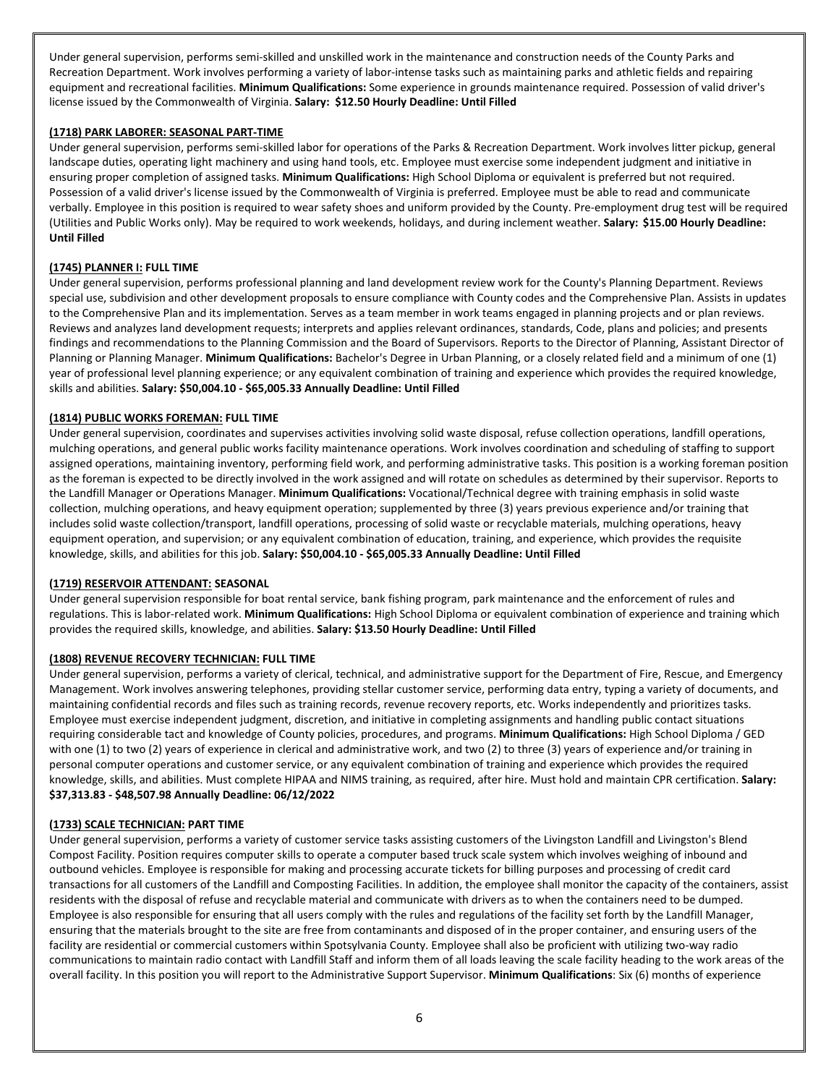Under general supervision, performs semi-skilled and unskilled work in the maintenance and construction needs of the County Parks and Recreation Department. Work involves performing a variety of labor-intense tasks such as maintaining parks and athletic fields and repairing equipment and recreational facilities. **Minimum Qualifications:** Some experience in grounds maintenance required. Possession of valid driver's license issued by the Commonwealth of Virginia. **Salary: \$12.50 Hourly Deadline: Until Filled**

## **(1718) PARK LABORER: SEASONAL PART-TIME**

Under general supervision, performs semi-skilled labor for operations of the Parks & Recreation Department. Work involves litter pickup, general landscape duties, operating light machinery and using hand tools, etc. Employee must exercise some independent judgment and initiative in ensuring proper completion of assigned tasks. **Minimum Qualifications:** High School Diploma or equivalent is preferred but not required. Possession of a valid driver's license issued by the Commonwealth of Virginia is preferred. Employee must be able to read and communicate verbally. Employee in this position is required to wear safety shoes and uniform provided by the County. Pre-employment drug test will be required (Utilities and Public Works only). May be required to work weekends, holidays, and during inclement weather. **Salary: \$15.00 Hourly Deadline: Until Filled**

### **(1745) PLANNER I: FULL TIME**

Under general supervision, performs professional planning and land development review work for the County's Planning Department. Reviews special use, subdivision and other development proposals to ensure compliance with County codes and the Comprehensive Plan. Assists in updates to the Comprehensive Plan and its implementation. Serves as a team member in work teams engaged in planning projects and or plan reviews. Reviews and analyzes land development requests; interprets and applies relevant ordinances, standards, Code, plans and policies; and presents findings and recommendations to the Planning Commission and the Board of Supervisors. Reports to the Director of Planning, Assistant Director of Planning or Planning Manager. **Minimum Qualifications:** Bachelor's Degree in Urban Planning, or a closely related field and a minimum of one (1) year of professional level planning experience; or any equivalent combination of training and experience which provides the required knowledge, skills and abilities. **Salary: \$50,004.10 - \$65,005.33 Annually Deadline: Until Filled**

### **(1814) PUBLIC WORKS FOREMAN: FULL TIME**

Under general supervision, coordinates and supervises activities involving solid waste disposal, refuse collection operations, landfill operations, mulching operations, and general public works facility maintenance operations. Work involves coordination and scheduling of staffing to support assigned operations, maintaining inventory, performing field work, and performing administrative tasks. This position is a working foreman position as the foreman is expected to be directly involved in the work assigned and will rotate on schedules as determined by their supervisor. Reports to the Landfill Manager or Operations Manager. **Minimum Qualifications:** Vocational/Technical degree with training emphasis in solid waste collection, mulching operations, and heavy equipment operation; supplemented by three (3) years previous experience and/or training that includes solid waste collection/transport, landfill operations, processing of solid waste or recyclable materials, mulching operations, heavy equipment operation, and supervision; or any equivalent combination of education, training, and experience, which provides the requisite knowledge, skills, and abilities for this job. **Salary: \$50,004.10 - \$65,005.33 Annually Deadline: Until Filled**

#### **(1719) RESERVOIR ATTENDANT: SEASONAL**

Under general supervision responsible for boat rental service, bank fishing program, park maintenance and the enforcement of rules and regulations. This is labor-related work. **Minimum Qualifications:** High School Diploma or equivalent combination of experience and training which provides the required skills, knowledge, and abilities. **Salary: \$13.50 Hourly Deadline: Until Filled**

# **(1808) REVENUE RECOVERY TECHNICIAN: FULL TIME**

Under general supervision, performs a variety of clerical, technical, and administrative support for the Department of Fire, Rescue, and Emergency Management. Work involves answering telephones, providing stellar customer service, performing data entry, typing a variety of documents, and maintaining confidential records and files such as training records, revenue recovery reports, etc. Works independently and prioritizes tasks. Employee must exercise independent judgment, discretion, and initiative in completing assignments and handling public contact situations requiring considerable tact and knowledge of County policies, procedures, and programs. **Minimum Qualifications:** High School Diploma / GED with one (1) to two (2) years of experience in clerical and administrative work, and two (2) to three (3) years of experience and/or training in personal computer operations and customer service, or any equivalent combination of training and experience which provides the required knowledge, skills, and abilities. Must complete HIPAA and NIMS training, as required, after hire. Must hold and maintain CPR certification. **Salary: \$37,313.83 - \$48,507.98 Annually Deadline: 06/12/2022**

#### **(1733) SCALE TECHNICIAN: PART TIME**

Under general supervision, performs a variety of customer service tasks assisting customers of the Livingston Landfill and Livingston's Blend Compost Facility. Position requires computer skills to operate a computer based truck scale system which involves weighing of inbound and outbound vehicles. Employee is responsible for making and processing accurate tickets for billing purposes and processing of credit card transactions for all customers of the Landfill and Composting Facilities. In addition, the employee shall monitor the capacity of the containers, assist residents with the disposal of refuse and recyclable material and communicate with drivers as to when the containers need to be dumped. Employee is also responsible for ensuring that all users comply with the rules and regulations of the facility set forth by the Landfill Manager, ensuring that the materials brought to the site are free from contaminants and disposed of in the proper container, and ensuring users of the facility are residential or commercial customers within Spotsylvania County. Employee shall also be proficient with utilizing two-way radio communications to maintain radio contact with Landfill Staff and inform them of all loads leaving the scale facility heading to the work areas of the overall facility. In this position you will report to the Administrative Support Supervisor. **Minimum Qualifications**: Six (6) months of experience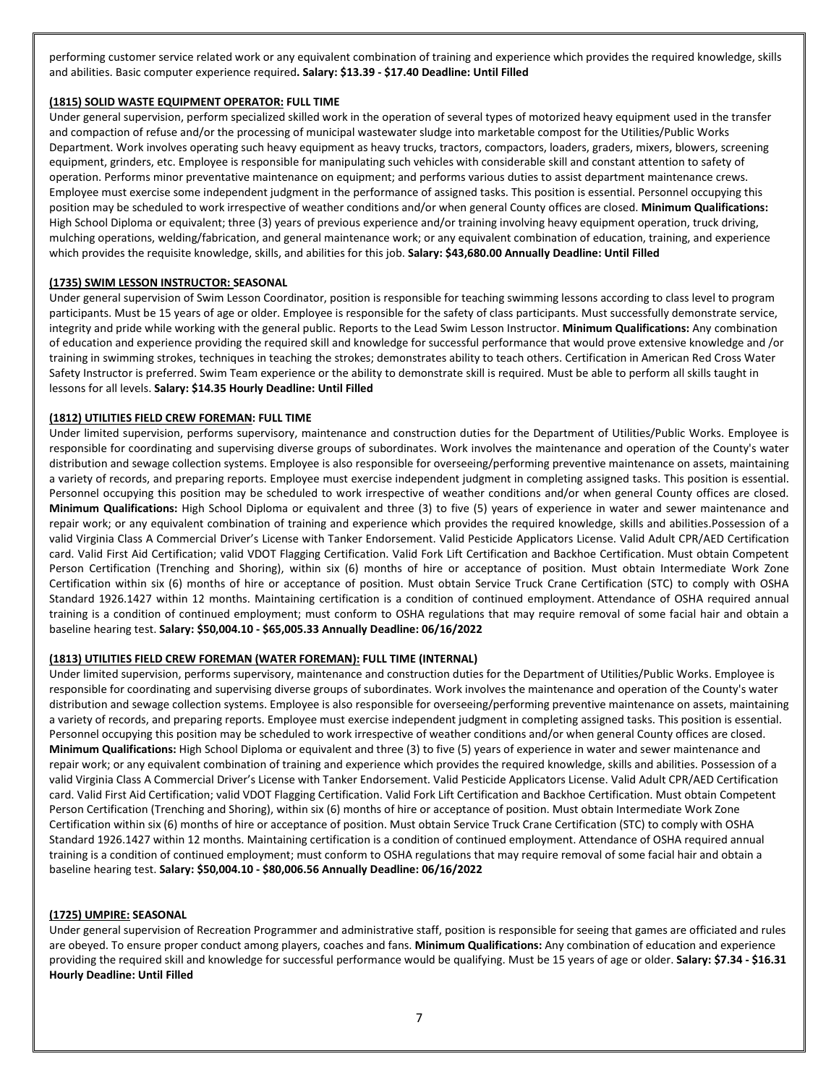performing customer service related work or any equivalent combination of training and experience which provides the required knowledge, skills and abilities. Basic computer experience required**. Salary: \$13.39 - \$17.40 Deadline: Until Filled**

## **(1815) SOLID WASTE EQUIPMENT OPERATOR: FULL TIME**

Under general supervision, perform specialized skilled work in the operation of several types of motorized heavy equipment used in the transfer and compaction of refuse and/or the processing of municipal wastewater sludge into marketable compost for the Utilities/Public Works Department. Work involves operating such heavy equipment as heavy trucks, tractors, compactors, loaders, graders, mixers, blowers, screening equipment, grinders, etc. Employee is responsible for manipulating such vehicles with considerable skill and constant attention to safety of operation. Performs minor preventative maintenance on equipment; and performs various duties to assist department maintenance crews. Employee must exercise some independent judgment in the performance of assigned tasks. This position is essential. Personnel occupying this position may be scheduled to work irrespective of weather conditions and/or when general County offices are closed. **Minimum Qualifications:** High School Diploma or equivalent; three (3) years of previous experience and/or training involving heavy equipment operation, truck driving, mulching operations, welding/fabrication, and general maintenance work; or any equivalent combination of education, training, and experience which provides the requisite knowledge, skills, and abilities for this job. **Salary: \$43,680.00 Annually Deadline: Until Filled**

### **(1735) SWIM LESSON INSTRUCTOR: SEASONAL**

Under general supervision of Swim Lesson Coordinator, position is responsible for teaching swimming lessons according to class level to program participants. Must be 15 years of age or older. Employee is responsible for the safety of class participants. Must successfully demonstrate service, integrity and pride while working with the general public. Reports to the Lead Swim Lesson Instructor. **Minimum Qualifications:** Any combination of education and experience providing the required skill and knowledge for successful performance that would prove extensive knowledge and /or training in swimming strokes, techniques in teaching the strokes; demonstrates ability to teach others. Certification in American Red Cross Water Safety Instructor is preferred. Swim Team experience or the ability to demonstrate skill is required. Must be able to perform all skills taught in lessons for all levels. **Salary: \$14.35 Hourly Deadline: Until Filled**

### **(1812) UTILITIES FIELD CREW FOREMAN: FULL TIME**

Under limited supervision, performs supervisory, maintenance and construction duties for the Department of Utilities/Public Works. Employee is responsible for coordinating and supervising diverse groups of subordinates. Work involves the maintenance and operation of the County's water distribution and sewage collection systems. Employee is also responsible for overseeing/performing preventive maintenance on assets, maintaining a variety of records, and preparing reports. Employee must exercise independent judgment in completing assigned tasks. This position is essential. Personnel occupying this position may be scheduled to work irrespective of weather conditions and/or when general County offices are closed. **Minimum Qualifications:** High School Diploma or equivalent and three (3) to five (5) years of experience in water and sewer maintenance and repair work; or any equivalent combination of training and experience which provides the required knowledge, skills and abilities.Possession of a valid Virginia Class A Commercial Driver's License with Tanker Endorsement. Valid Pesticide Applicators License. Valid Adult CPR/AED Certification card. Valid First Aid Certification; valid VDOT Flagging Certification. Valid Fork Lift Certification and Backhoe Certification. Must obtain Competent Person Certification (Trenching and Shoring), within six (6) months of hire or acceptance of position. Must obtain Intermediate Work Zone Certification within six (6) months of hire or acceptance of position. Must obtain Service Truck Crane Certification (STC) to comply with OSHA Standard 1926.1427 within 12 months. Maintaining certification is a condition of continued employment. Attendance of OSHA required annual training is a condition of continued employment; must conform to OSHA regulations that may require removal of some facial hair and obtain a baseline hearing test. **Salary: \$50,004.10 - \$65,005.33 Annually Deadline: 06/16/2022**

#### **(1813) UTILITIES FIELD CREW FOREMAN (WATER FOREMAN): FULL TIME (INTERNAL)**

Under limited supervision, performs supervisory, maintenance and construction duties for the Department of Utilities/Public Works. Employee is responsible for coordinating and supervising diverse groups of subordinates. Work involves the maintenance and operation of the County's water distribution and sewage collection systems. Employee is also responsible for overseeing/performing preventive maintenance on assets, maintaining a variety of records, and preparing reports. Employee must exercise independent judgment in completing assigned tasks. This position is essential. Personnel occupying this position may be scheduled to work irrespective of weather conditions and/or when general County offices are closed. **Minimum Qualifications:** High School Diploma or equivalent and three (3) to five (5) years of experience in water and sewer maintenance and repair work; or any equivalent combination of training and experience which provides the required knowledge, skills and abilities. Possession of a valid Virginia Class A Commercial Driver's License with Tanker Endorsement. Valid Pesticide Applicators License. Valid Adult CPR/AED Certification card. Valid First Aid Certification; valid VDOT Flagging Certification. Valid Fork Lift Certification and Backhoe Certification. Must obtain Competent Person Certification (Trenching and Shoring), within six (6) months of hire or acceptance of position. Must obtain Intermediate Work Zone Certification within six (6) months of hire or acceptance of position. Must obtain Service Truck Crane Certification (STC) to comply with OSHA Standard 1926.1427 within 12 months. Maintaining certification is a condition of continued employment. Attendance of OSHA required annual training is a condition of continued employment; must conform to OSHA regulations that may require removal of some facial hair and obtain a baseline hearing test. **Salary: \$50,004.10 - \$80,006.56 Annually Deadline: 06/16/2022**

#### **(1725) UMPIRE: SEASONAL**

Under general supervision of Recreation Programmer and administrative staff, position is responsible for seeing that games are officiated and rules are obeyed. To ensure proper conduct among players, coaches and fans. **Minimum Qualifications:** Any combination of education and experience providing the required skill and knowledge for successful performance would be qualifying. Must be 15 years of age or older. **Salary: \$7.34 - \$16.31 Hourly Deadline: Until Filled**